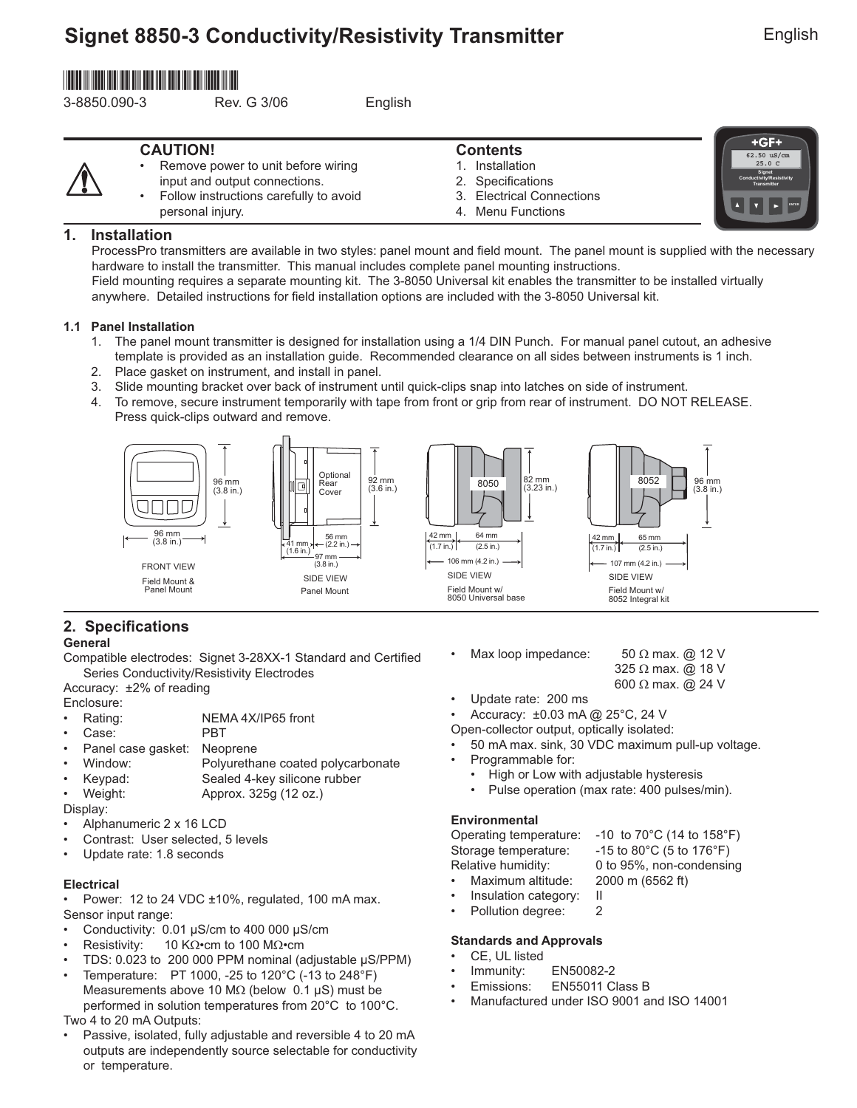# **Signet 8850-3 Conductivity/Resistivity Transmitter**

English

 $+GF+$ 

**ENTER**

# \*3-8850.090-3\*

3-8850.090-3 Rev. G 3/06 English

### **CAUTION!**

| <b>CAUTION!</b> |                                          | <b>Contents</b> |                           | +GF+                                              |
|-----------------|------------------------------------------|-----------------|---------------------------|---------------------------------------------------|
|                 |                                          |                 |                           | 62.50 uS/cm                                       |
| $\bullet$       | Remove power to unit before wiring       |                 | Installation              | $25.0\,C$                                         |
|                 | input and output connections.            |                 | 2. Specifications         | Signet<br>Conductivity/Resistivity<br>Transmitter |
|                 | • Follow instructions carefully to avoid |                 | 3. Electrical Connections |                                                   |
|                 | personal injury.                         |                 | 4. Menu Functions         |                                                   |

### **1. Installation**

ProcessPro transmitters are available in two styles: panel mount and field mount. The panel mount is supplied with the necessary hardware to install the transmitter. This manual includes complete panel mounting instructions. Field mounting requires a separate mounting kit. The 3-8050 Universal kit enables the transmitter to be installed virtually anywhere. Detailed instructions for field installation options are included with the 3-8050 Universal kit.

#### **1.1 Panel Installation**

- 1. The panel mount transmitter is designed for installation using a 1/4 DIN Punch. For manual panel cutout, an adhesive template is provided as an installation guide. Recommended clearance on all sides between instruments is 1 inch.
- 2. Place gasket on instrument, and install in panel.
- 3. Slide mounting bracket over back of instrument until quick-clips snap into latches on side of instrument.
- 4. To remove, secure instrument temporarily with tape from front or grip from rear of instrument. DO NOT RELEASE. Press quick-clips outward and remove.



### **2. Specifications**

#### **General**

Compatible electrodes: Signet 3-28XX-1 Standard and Certified Series Conductivity/Resistivity Electrodes

Accuracy: ±2% of reading

- Enclosure:
- Rating: NEMA 4X/IP65 front
- Case: PBT
- Panel case gasket: Neoprene
- Window: Polyurethane coated polycarbonate
- Keypad: Sealed 4-key silicone rubber
- Weight: Approx. 325g (12 oz.)

Display:

- Alphanumeric 2 x 16 LCD
- Contrast: User selected, 5 levels
- Update rate: 1.8 seconds

### **Electrical**

• Power: 12 to 24 VDC ±10%, regulated, 100 mA max. Sensor input range:

- Conductivity:  $0.01 \mu\text{S/cm}$  to 400 000  $\mu\text{S/cm}$
- Resistivity: 10 KΩ•cm to 100 MΩ•cm
- TDS: 0.023 to 200 000 PPM nominal (adjustable µS/PPM)
- Temperature: PT 1000, -25 to 120°C (-13 to 248°F) Measurements above 10 M $\Omega$  (below 0.1 µS) must be performed in solution temperatures from 20°C to 100°C. Two 4 to 20 mA Outputs:
- Passive, isolated, fully adjustable and reversible 4 to 20 mA outputs are independently source selectable for conductivity or temperature.
- Max loop impedance:  $50 \Omega$  max. @ 12 V
	- 325 Ω max. @ 18 V
	- 600 Ω max. @ 24 V
- Update rate: 200 ms

• Accuracy: ±0.03 mA @ 25°C, 24 V

Open-collector output, optically isolated:

- 50 mA max. sink, 30 VDC maximum pull-up voltage.
- Programmable for:
	- High or Low with adjustable hysteresis
	- Pulse operation (max rate: 400 pulses/min).

#### **Environmental**

Operating temperature: -10 to 70°C (14 to 158°F) Storage temperature: -15 to 80°C (5 to 176°F)<br>Relative humidity: 0 to 95%, non-condensir 0 to 95%, non-condensing • Maximum altitude: 2000 m (6562 ft)

- Insulation category: II
- Pollution degree: 2
- 

#### **Standards and Approvals**

- CE, UL listed
- Immunity: EN50082-2
- Emissions: EN55011 Class B
- Manufactured under ISO 9001 and ISO 14001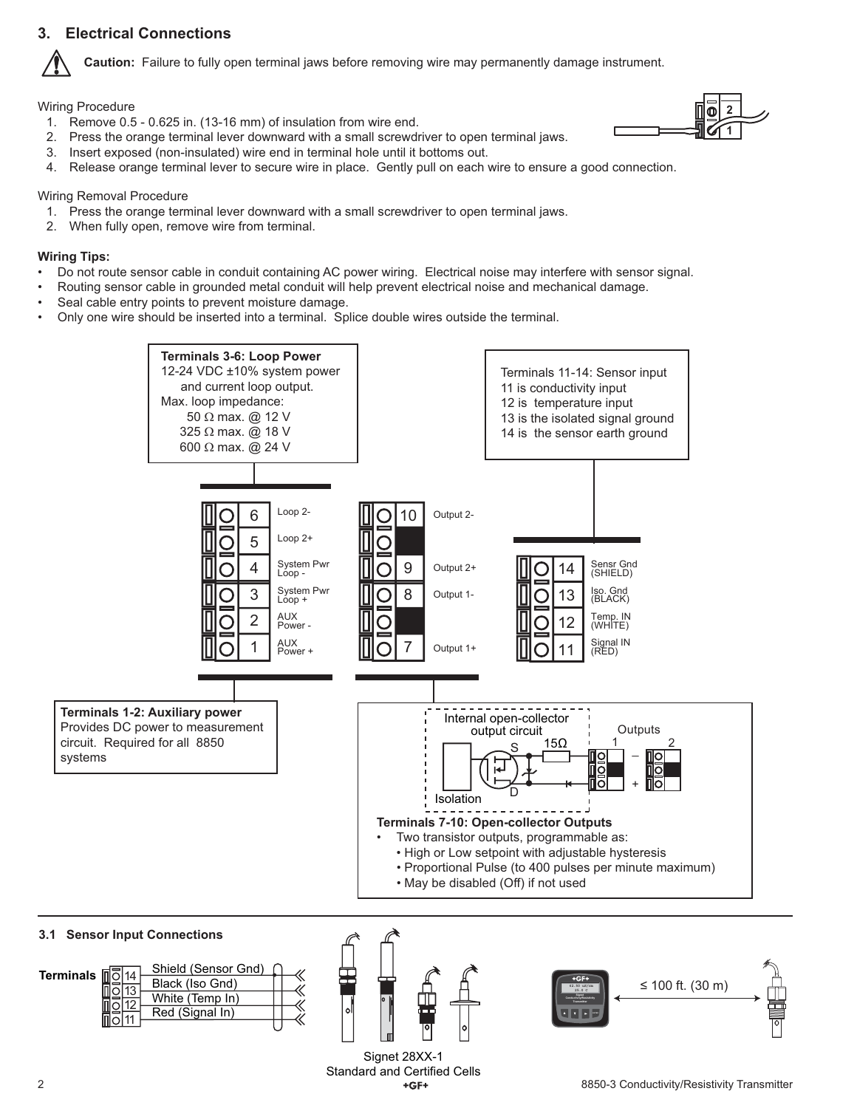### **3. Electrical Connections**



**Caution:** Failure to fully open terminal jaws before removing wire may permanently damage instrument.

Wiring Procedure

1. Remove 0.5 - 0.625 in. (13-16 mm) of insulation from wire end.



- 2. Press the orange terminal lever downward with a small screwdriver to open terminal jaws. 3. Insert exposed (non-insulated) wire end in terminal hole until it bottoms out.
- 4. Release orange terminal lever to secure wire in place. Gently pull on each wire to ensure a good connection.

#### Wiring Removal Procedure

- 1. Press the orange terminal lever downward with a small screwdriver to open terminal jaws.
- 2. When fully open, remove wire from terminal.

#### **Wiring Tips:**

- Do not route sensor cable in conduit containing AC power wiring. Electrical noise may interfere with sensor signal.
- Routing sensor cable in grounded metal conduit will help prevent electrical noise and mechanical damage.
- Seal cable entry points to prevent moisture damage.
- Only one wire should be inserted into a terminal. Splice double wires outside the terminal.



![](_page_1_Figure_17.jpeg)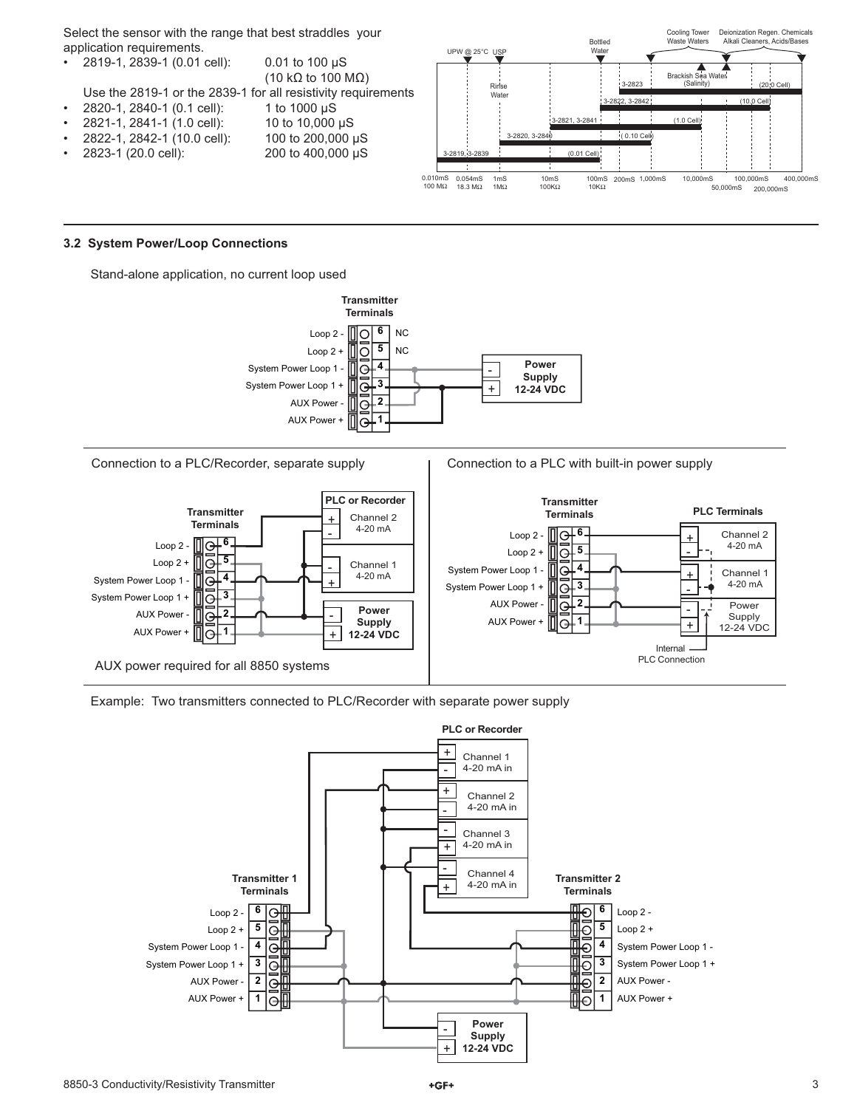Select the sensor with the range that best straddles your application requirements.

|           |                                     |                                                               | UPW (W. ZU V  |
|-----------|-------------------------------------|---------------------------------------------------------------|---------------|
|           | $\cdot$ 2819-1, 2839-1 (0.01 cell): | $0.01$ to 100 $\mu$ S                                         |               |
|           |                                     | (10 k $\Omega$ to 100 M $\Omega$ )                            |               |
|           |                                     | Use the 2819-1 or the 2839-1 for all resistivity requirements |               |
| $\bullet$ | 2820-1, 2840-1 (0.1 cell):          | 1 to 1000 $\mu$ S                                             |               |
| $\bullet$ | 2821-1, 2841-1 (1.0 cell):          | 10 to 10,000 µS                                               |               |
| $\bullet$ | 2822-1, 2842-1 (10.0 cell):         | 100 to 200,000 µS                                             |               |
| $\bullet$ | 2823-1 (20.0 cell):                 | 200 to 400,000 µS                                             | 3-2819, 3-283 |
|           |                                     |                                                               |               |
|           |                                     |                                                               | 0.04000       |

![](_page_2_Figure_2.jpeg)

#### **3.2 System Power/Loop Connections**

Stand-alone application, no current loop used

![](_page_2_Figure_5.jpeg)

Connection to a PLC/Recorder, separate supply

Connection to a PLC with built-in power supply

![](_page_2_Figure_8.jpeg)

![](_page_2_Figure_9.jpeg)

![](_page_2_Figure_10.jpeg)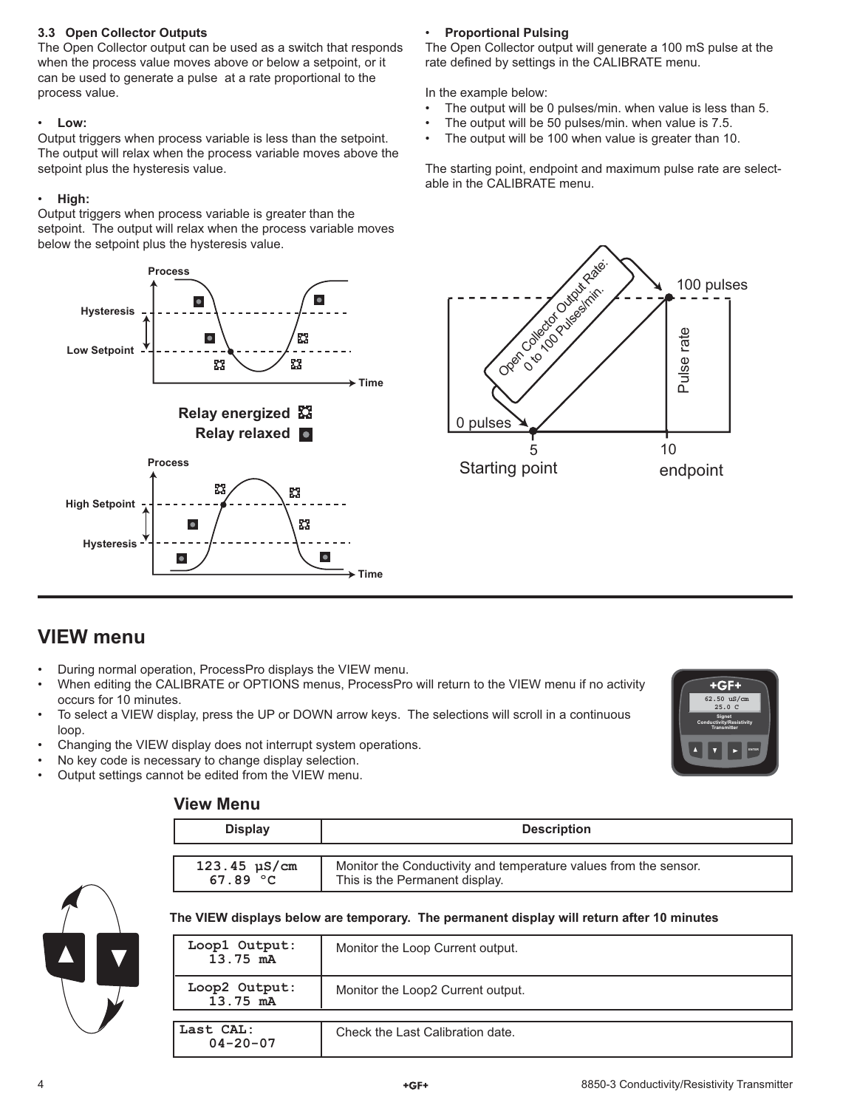#### **3.3 Open Collector Outputs**

The Open Collector output can be used as a switch that responds when the process value moves above or below a setpoint, or it can be used to generate a pulse at a rate proportional to the process value.

### • **Low:**

Output triggers when process variable is less than the setpoint. The output will relax when the process variable moves above the setpoint plus the hysteresis value.

### • **High:**

Output triggers when process variable is greater than the setpoint. The output will relax when the process variable moves below the setpoint plus the hysteresis value.

![](_page_3_Figure_6.jpeg)

## • **Proportional Pulsing**

The Open Collector output will generate a 100 mS pulse at the rate defined by settings in the CALIBRATE menu.

In the example below:

- The output will be 0 pulses/min. when value is less than 5.
- The output will be 50 pulses/min. when value is 7.5.
- The output will be 100 when value is greater than 10.

The starting point, endpoint and maximum pulse rate are selectable in the CALIBRATE menu.

![](_page_3_Figure_14.jpeg)

# **VIEW menu**

- During normal operation, ProcessPro displays the VIEW menu.
- When editing the CALIBRATE or OPTIONS menus, ProcessPro will return to the VIEW menu if no activity occurs for 10 minutes.
- To select a VIEW display, press the UP or DOWN arrow keys. The selections will scroll in a continuous loop.
- Changing the VIEW display does not interrupt system operations.
- No key code is necessary to change display selection.
- Output settings cannot be edited from the VIEW menu.

### **View Menu**

|                          | $+GF+$                       |              |
|--------------------------|------------------------------|--------------|
|                          | 62.50 uS/cm<br>25.0C         |              |
| Conductivity/Resistivity | Signet<br><b>Transmitter</b> |              |
| 71                       |                              | <b>FATER</b> |
|                          |                              |              |

| <b>Display</b>                  | <b>Description</b>                                               |
|---------------------------------|------------------------------------------------------------------|
| $123.45 \text{ }\mu\text{S/cm}$ | Monitor the Conductivity and temperature values from the sensor. |
| 67.89 $^{\circ}$ C              | This is the Permanent display.                                   |

### **The VIEW displays below are temporary. The permanent display will return after 10 minutes**

| Loop1 Output:<br>13.75 mA   | Monitor the Loop Current output.  |
|-----------------------------|-----------------------------------|
| Loop2 Output:<br>13.75 mA   | Monitor the Loop2 Current output. |
|                             |                                   |
| Last CAL:<br>$04 - 20 - 07$ | Check the Last Calibration date.  |

![](_page_3_Picture_27.jpeg)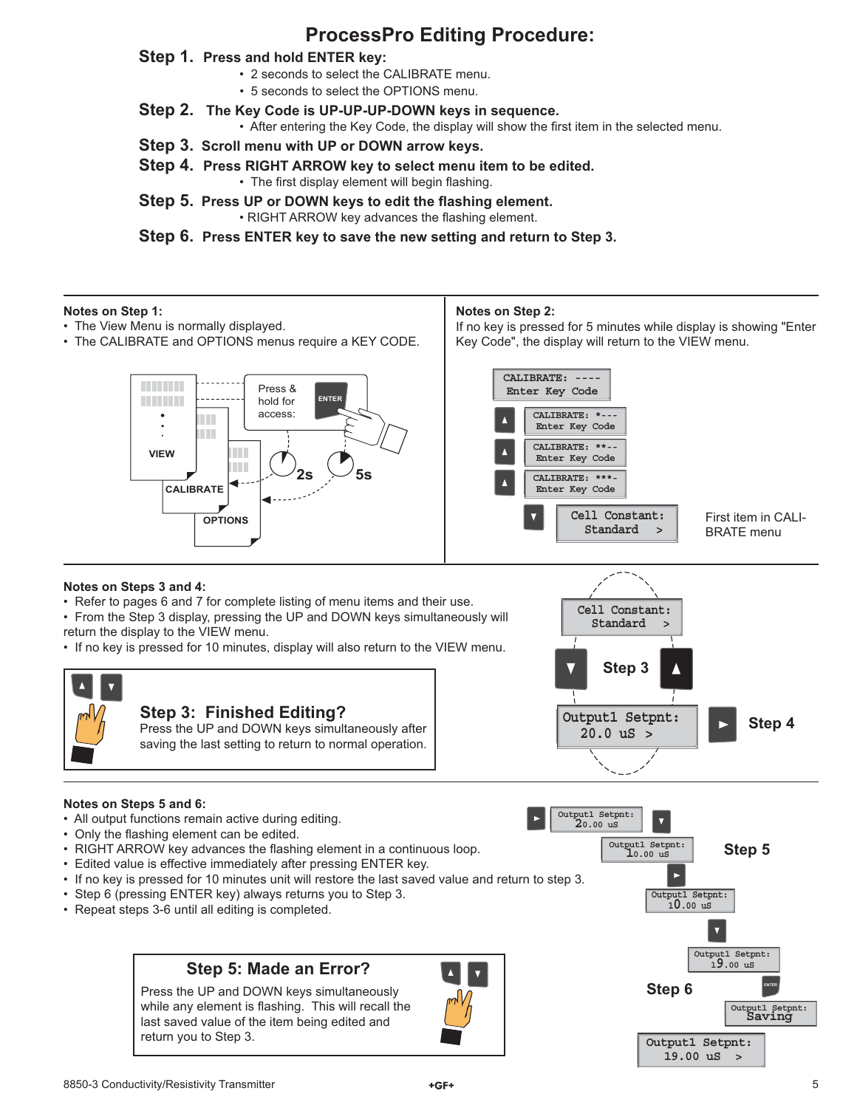# **ProcessPro Editing Procedure:**

### **Step 1. Press and hold ENTER key:**

- 2 seconds to select the CALIBRATE menu.
- 5 seconds to select the OPTIONS menu.
- **Step 2. The Key Code is UP-UP-UP-DOWN keys in sequence.**
	- After entering the Key Code, the display will show the first item in the selected menu.
- **Step 3. Scroll menu with UP or DOWN arrow keys.**
- **Step 4. Press RIGHT ARROW key to select menu item to be edited.** • The first display element will begin flashing.
- **Step 5. Press UP or DOWN keys to edit the flashing element.** • RIGHT ARROW key advances the flashing element.

**Step 6. Press ENTER key to save the new setting and return to Step 3.**

#### **Notes on Step 1:**

- The View Menu is normally displayed.
- The CALIBRATE and OPTIONS menus require a KEY CODE.

#### **Notes on Step 2:**

If no key is pressed for 5 minutes while display is showing "Enter Key Code", the display will return to the VIEW menu.

> **Standard > Cell Constant:**

![](_page_4_Figure_15.jpeg)

First item in CALI-BRATE menu

#### **Notes on Steps 3 and 4:**

• Refer to pages 6 and 7 for complete listing of menu items and their use.

• From the Step 3 display, pressing the UP and DOWN keys simultaneously will return the display to the VIEW menu.

• If no key is pressed for 10 minutes, display will also return to the VIEW menu.

![](_page_4_Figure_21.jpeg)

#### **Notes on Steps 5 and 6:**

- All output functions remain active during editing.
- Only the flashing element can be edited.
- RIGHT ARROW key advances the flashing element in a continuous loop.
- Edited value is effective immediately after pressing ENTER key.
- If no key is pressed for 10 minutes unit will restore the last saved value and return to step 3.
- Step 6 (pressing ENTER key) always returns you to Step 3.
- Repeat steps 3-6 until all editing is completed.

### **Step 5: Made an Error?**

Press the UP and DOWN keys simultaneously while any element is flashing. This will recall the last saved value of the item being edited and return you to Step 3.

![](_page_4_Picture_32.jpeg)

![](_page_4_Figure_33.jpeg)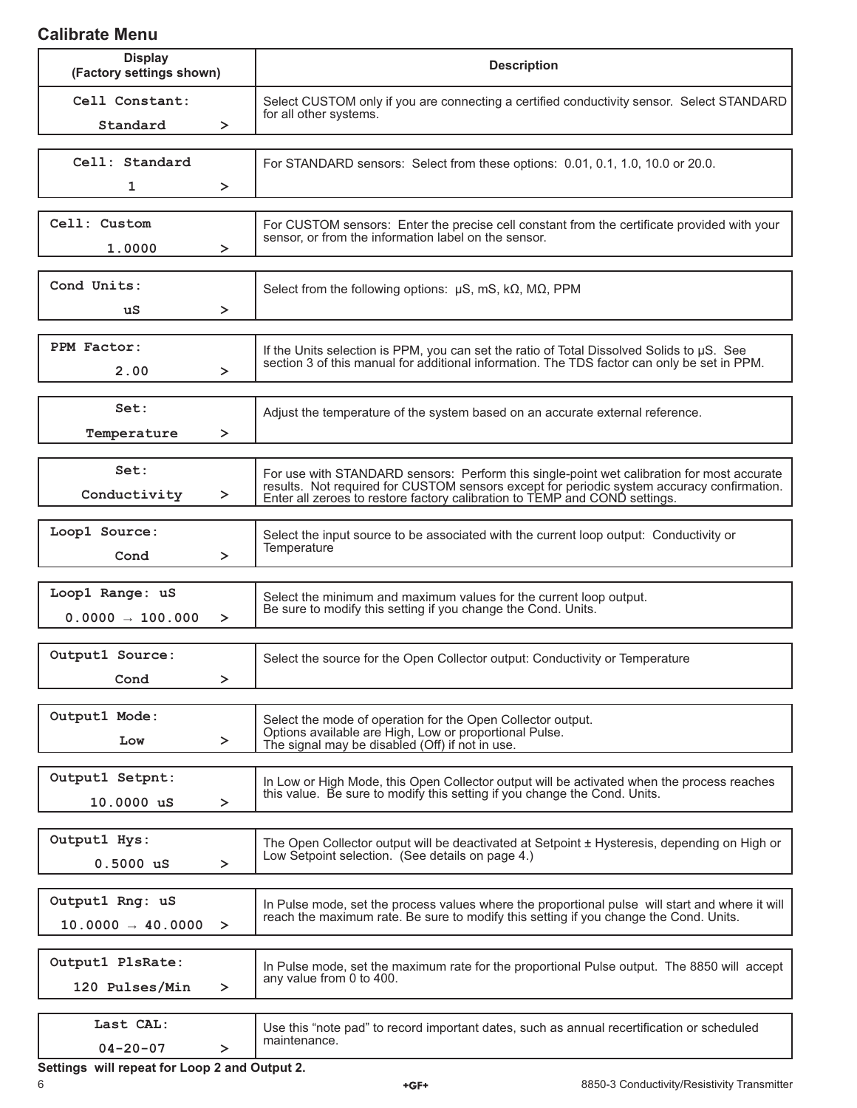## **Calibrate Menu**

| <b>Display</b><br>(Factory settings shown)       |        | <b>Description</b>                                                                                                                                                                                                                                                     |  |
|--------------------------------------------------|--------|------------------------------------------------------------------------------------------------------------------------------------------------------------------------------------------------------------------------------------------------------------------------|--|
| Cell Constant:<br>Standard<br>≻                  |        | Select CUSTOM only if you are connecting a certified conductivity sensor. Select STANDARD<br>for all other systems.                                                                                                                                                    |  |
| Cell: Standard<br>1                              | ➤      | For STANDARD sensors: Select from these options: 0.01, 0.1, 1.0, 10.0 or 20.0.                                                                                                                                                                                         |  |
| Cell: Custom<br>1.0000                           | ≻      | For CUSTOM sensors: Enter the precise cell constant from the certificate provided with your<br>sensor, or from the information label on the sensor.                                                                                                                    |  |
| Cond Units:<br>uS                                | ≻      | Select from the following options: $\mu$ S, mS, k $\Omega$ , M $\Omega$ , PPM                                                                                                                                                                                          |  |
| PPM Factor:<br>2.00                              | $\geq$ | If the Units selection is PPM, you can set the ratio of Total Dissolved Solids to $\mu$ S. See<br>section 3 of this manual for additional information. The TDS factor can only be set in PPM.                                                                          |  |
| Set:<br>Temperature                              | ≻      | Adjust the temperature of the system based on an accurate external reference.                                                                                                                                                                                          |  |
| Set:<br>Conductivity                             | $\geq$ | For use with STANDARD sensors: Perform this single-point wet calibration for most accurate<br>results. Not required for CUSTOM sensors except for periodic system accuracy confirmation.<br>Enter all zeroes to restore factory calibration to TEMP and COND settings. |  |
| Loop1 Source:<br>Cond                            | $\geq$ | Select the input source to be associated with the current loop output: Conductivity or<br>Temperature                                                                                                                                                                  |  |
| Loop1 Range: uS<br>$0.0000 \rightarrow 100.000$  | $\geq$ | Select the minimum and maximum values for the current loop output.<br>Be sure to modify this setting if you change the Cond. Units.                                                                                                                                    |  |
| Output1 Source:<br>Cond                          | $\geq$ | Select the source for the Open Collector output: Conductivity or Temperature                                                                                                                                                                                           |  |
| Output1 Mode:<br>Low                             | $\geq$ | Select the mode of operation for the Open Collector output.<br>Options available are High, Low or proportional Pulse.<br>The signal may be disabled (Off) if not in use.                                                                                               |  |
| Output1 Setpnt:<br>10.0000 uS                    | ≻      | In Low or High Mode, this Open Collector output will be activated when the process reaches<br>this value. Be sure to modify this setting if you change the Cond. Units.                                                                                                |  |
| Output1 Hys:<br>$0.5000$ uS                      | ≻      | The Open Collector output will be deactivated at Setpoint ± Hysteresis, depending on High or<br>Low Setpoint selection. (See details on page 4.)                                                                                                                       |  |
| Output1 Rng: uS<br>$10.0000 \rightarrow 40.0000$ | $\geq$ | In Pulse mode, set the process values where the proportional pulse will start and where it will<br>reach the maximum rate. Be sure to modify this setting if you change the Cond. Units.                                                                               |  |
| Output1 PlsRate:<br>120 Pulses/Min               | ≻      | In Pulse mode, set the maximum rate for the proportional Pulse output. The 8850 will accept<br>any value from 0 to 400.                                                                                                                                                |  |
| Last CAL:<br>$04 - 20 - 07$                      | ≻      | Use this "note pad" to record important dates, such as annual recertification or scheduled<br>maintenance.                                                                                                                                                             |  |

**Settings will repeat for Loop 2 and Output 2.**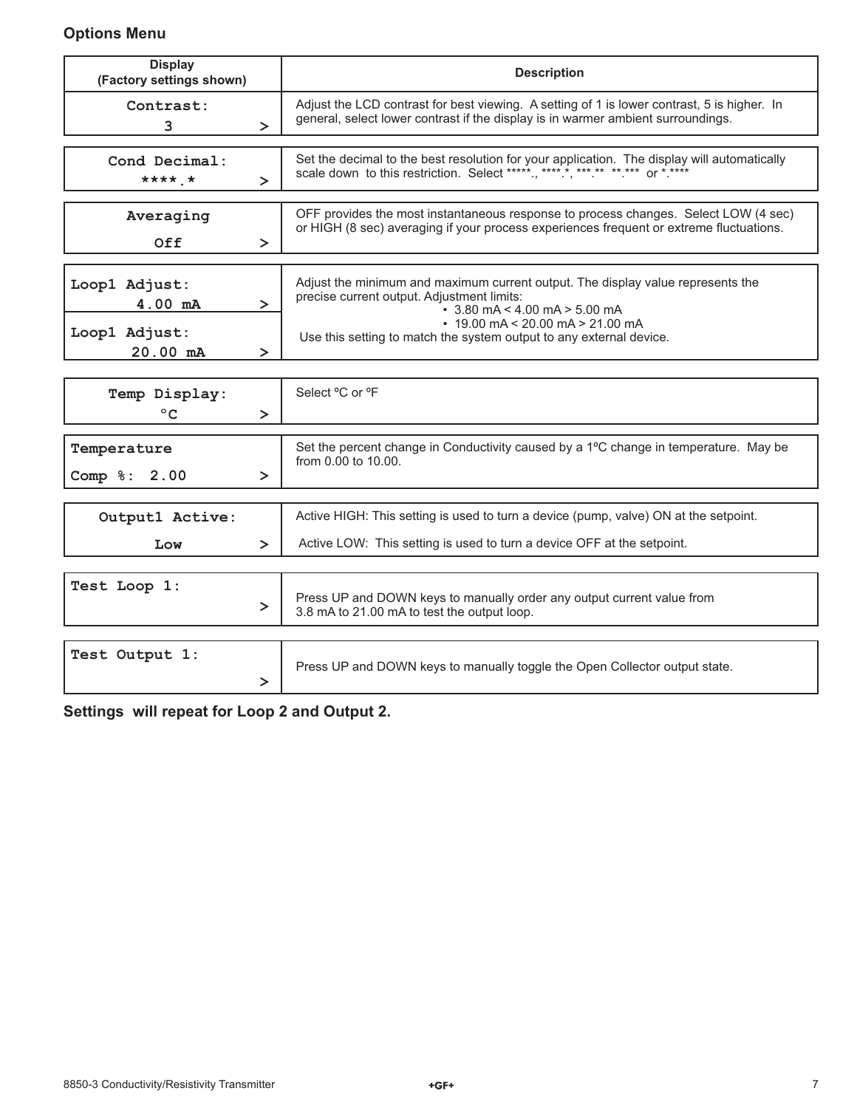## **Options Menu**

| <b>Display</b><br>(Factory settings shown)                      | <b>Description</b>                                                                                                                                                                                                                                                                    |  |
|-----------------------------------------------------------------|---------------------------------------------------------------------------------------------------------------------------------------------------------------------------------------------------------------------------------------------------------------------------------------|--|
| Contrast:<br>$\geq$<br>3                                        | Adjust the LCD contrast for best viewing. A setting of 1 is lower contrast, 5 is higher. In<br>general, select lower contrast if the display is in warmer ambient surroundings.                                                                                                       |  |
| Cond Decimal:<br>**** *<br>$\geq$                               | Set the decimal to the best resolution for your application. The display will automatically<br>scale down to this restriction. Select *****., *****, ***.** **.*** or *.****                                                                                                          |  |
| Averaging<br>Off<br>≻                                           | OFF provides the most instantaneous response to process changes. Select LOW (4 sec)<br>or HIGH (8 sec) averaging if your process experiences frequent or extreme fluctuations.                                                                                                        |  |
| Loop1 Adjust:<br>4.00 mA<br>≻<br>Loop1 Adjust:<br>20.00 mA<br>≻ | Adjust the minimum and maximum current output. The display value represents the<br>precise current output. Adjustment limits:<br>$\cdot$ 3.80 mA < 4.00 mA > 5.00 mA<br>$\cdot$ 19.00 mA < 20.00 mA > 21.00 mA<br>Use this setting to match the system output to any external device. |  |
| Temp Display:<br>$^{\circ}$ C<br>≻                              | Select °C or °F                                                                                                                                                                                                                                                                       |  |
| Temperature<br>2.00<br>$Comp \S:$<br>$\geq$                     | Set the percent change in Conductivity caused by a 1°C change in temperature. May be<br>from 0.00 to 10.00.                                                                                                                                                                           |  |
| Output1 Active:<br>Low<br>≻                                     | Active HIGH: This setting is used to turn a device (pump, valve) ON at the setpoint.<br>Active LOW: This setting is used to turn a device OFF at the setpoint.                                                                                                                        |  |
| Test Loop 1:<br>≻                                               | Press UP and DOWN keys to manually order any output current value from<br>3.8 mA to 21.00 mA to test the output loop.                                                                                                                                                                 |  |
| Test Output 1:<br>≻                                             | Press UP and DOWN keys to manually toggle the Open Collector output state.                                                                                                                                                                                                            |  |

**Settings will repeat for Loop 2 and Output 2.**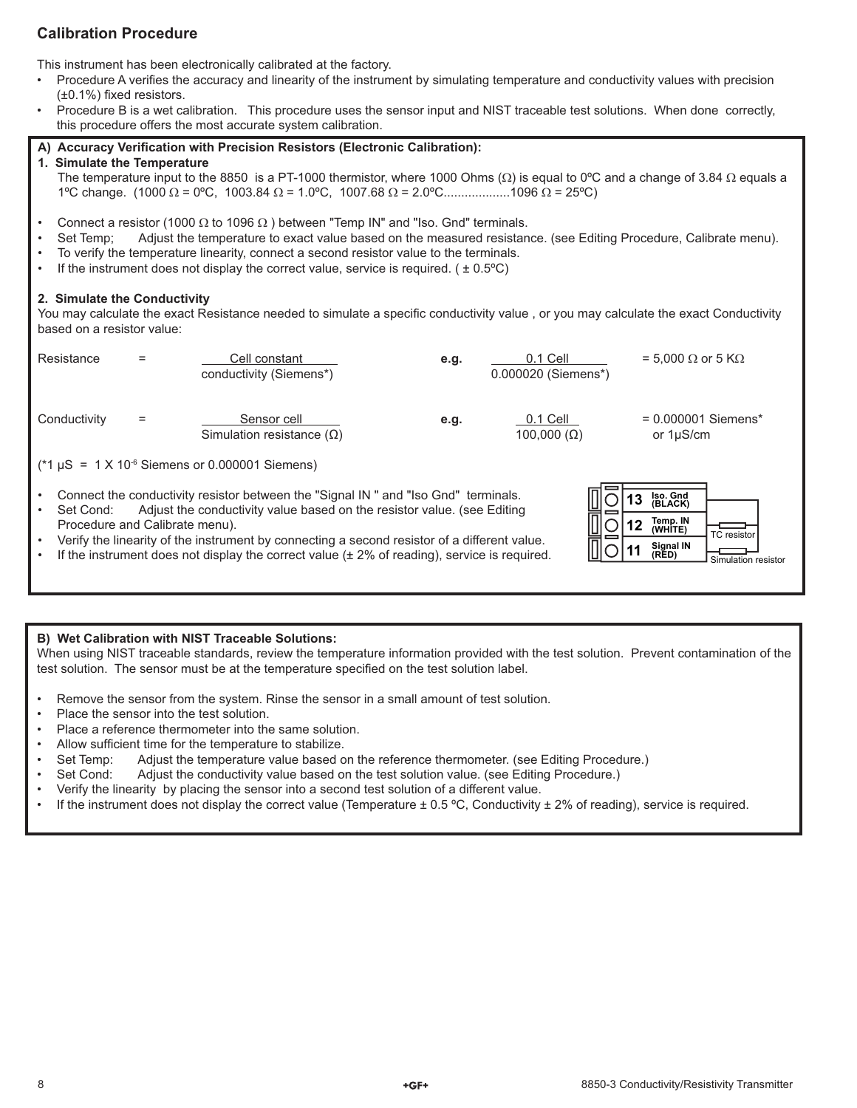### **Calibration Procedure**

This instrument has been electronically calibrated at the factory.

- Procedure A verifies the accuracy and linearity of the instrument by simulating temperature and conductivity values with precision  $(\pm 0.1\%)$  fixed resistors.
- Procedure B is a wet calibration. This procedure uses the sensor input and NIST traceable test solutions. When done correctly, this procedure offers the most accurate system calibration.

#### A) Accuracy Verification with Precision Resistors (Electronic Calibration):

#### **1. Simulate the Temperature**

The temperature input to the 8850 is a PT-1000 thermistor, where 1000 Ohms ( $\Omega$ ) is equal to 0°C and a change of 3.84  $\Omega$  equals a 1<sup>o</sup>C change. (1000 Ω = 0<sup>o</sup>C, 1003.84 Ω = 1.0<sup>o</sup>C, 1007.68 Ω = 2.0<sup>o</sup>C...................1096 Ω = 25<sup>o</sup>C)

- Connect a resistor (1000  $\Omega$  to 1096  $\Omega$  ) between "Temp IN" and "Iso. Gnd" terminals.
- Set Temp; Adjust the temperature to exact value based on the measured resistance. (see Editing Procedure, Calibrate menu).
- To verify the temperature linearity, connect a second resistor value to the terminals.
- If the instrument does not display the correct value, service is required. ( $\pm 0.5^{\circ}$ C)

#### **2. Simulate the Conductivity**

You may calculate the exact Resistance needed to simulate a specific conductivity value, or you may calculate the exact Conductivity based on a resistor value:

![](_page_7_Figure_13.jpeg)

#### **B) Wet Calibration with NIST Traceable Solutions:**

When using NIST traceable standards, review the temperature information provided with the test solution. Prevent contamination of the test solution. The sensor must be at the temperature specified on the test solution label.

- Remove the sensor from the system. Rinse the sensor in a small amount of test solution.
- Place the sensor into the test solution.
- Place a reference thermometer into the same solution.
- Allow sufficient time for the temperature to stabilize.
- Set Temp: Adjust the temperature value based on the reference thermometer. (see Editing Procedure.)
- Set Cond: Adjust the conductivity value based on the test solution value. (see Editing Procedure.)
- Verify the linearity by placing the sensor into a second test solution of a different value.
- If the instrument does not display the correct value (Temperature  $\pm$  0.5 °C, Conductivity  $\pm$  2% of reading), service is required.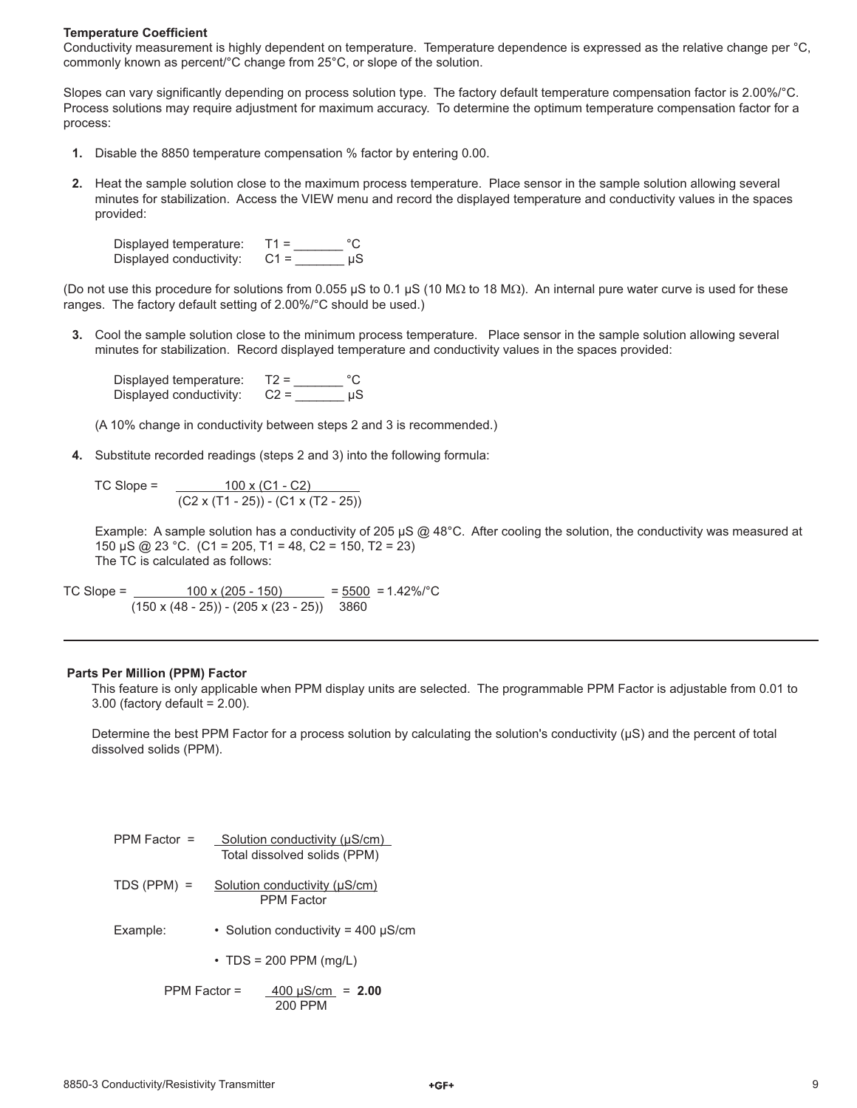#### **Temperature Coefficient**

Conductivity measurement is highly dependent on temperature. Temperature dependence is expressed as the relative change per °C, commonly known as percent/°C change from 25°C, or slope of the solution.

Slopes can vary significantly depending on process solution type. The factory default temperature compensation factor is 2.00%/°C. Process solutions may require adjustment for maximum accuracy. To determine the optimum temperature compensation factor for a process:

- **1.** Disable the 8850 temperature compensation % factor by entering 0.00.
- **2.** Heat the sample solution close to the maximum process temperature. Place sensor in the sample solution allowing several minutes for stabilization. Access the VIEW menu and record the displayed temperature and conductivity values in the spaces provided:

Displayed temperature: T1 = \_\_\_\_\_\_\_ °C Displayed conductivity: C1 = \_\_\_\_\_\_\_ µS

(Do not use this procedure for solutions from 0.055 µS to 0.1 µS (10 MΩ to 18 MΩ). An internal pure water curve is used for these ranges. The factory default setting of 2.00%/°C should be used.)

 **3.** Cool the sample solution close to the minimum process temperature. Place sensor in the sample solution allowing several minutes for stabilization. Record displayed temperature and conductivity values in the spaces provided:

Displayed temperature:  $T2 =$  \_\_\_\_\_\_\_\_\_ °C<br>Displayed conductivity:  $C2 =$  \_\_\_\_\_\_\_\_\_\_ µS Displayed conductivity:

(A 10% change in conductivity between steps 2 and 3 is recommended.)

 **4.** Substitute recorded readings (steps 2 and 3) into the following formula:

TC Slope = <u>\_\_\_\_\_\_\_\_\_ 100 x (C1 - C2)</u> (C2 x (T1 - 25)) - (C1 x (T2 - 25))

Example: A sample solution has a conductivity of 205  $\mu$ S @ 48°C. After cooling the solution, the conductivity was measured at 150 µS @ 23 °C. (C1 = 205, T1 = 48, C2 = 150, T2 = 23) The TC is calculated as follows:

TC Slope =  $\frac{100 \times (205 - 150)}{205 - 150}$  =  $\frac{5500}{20}$  = 1.42%/°C  $(150 \times (48 - 25)) - (205 \times (23 - 25))$  3860

#### **Parts Per Million (PPM) Factor**

This feature is only applicable when PPM display units are selected. The programmable PPM Factor is adjustable from 0.01 to 3.00 (factory default = 2.00).

Determine the best PPM Factor for a process solution by calculating the solution's conductivity  $(\mu S)$  and the percent of total dissolved solids (PPM).

| PPM Factor $=$ | Solution conductivity (µS/cm)<br>Total dissolved solids (PPM) |
|----------------|---------------------------------------------------------------|
| $TDS (PPM) =$  | Solution conductivity (µS/cm)<br><b>PPM Factor</b>            |
| Example:       | • Solution conductivity = 400 $\mu$ S/cm                      |
|                | $\cdot$ TDS = 200 PPM (mg/L)                                  |
| $PPM Factor =$ | $400 \mu S/cm = 2.00$<br>200 PPM                              |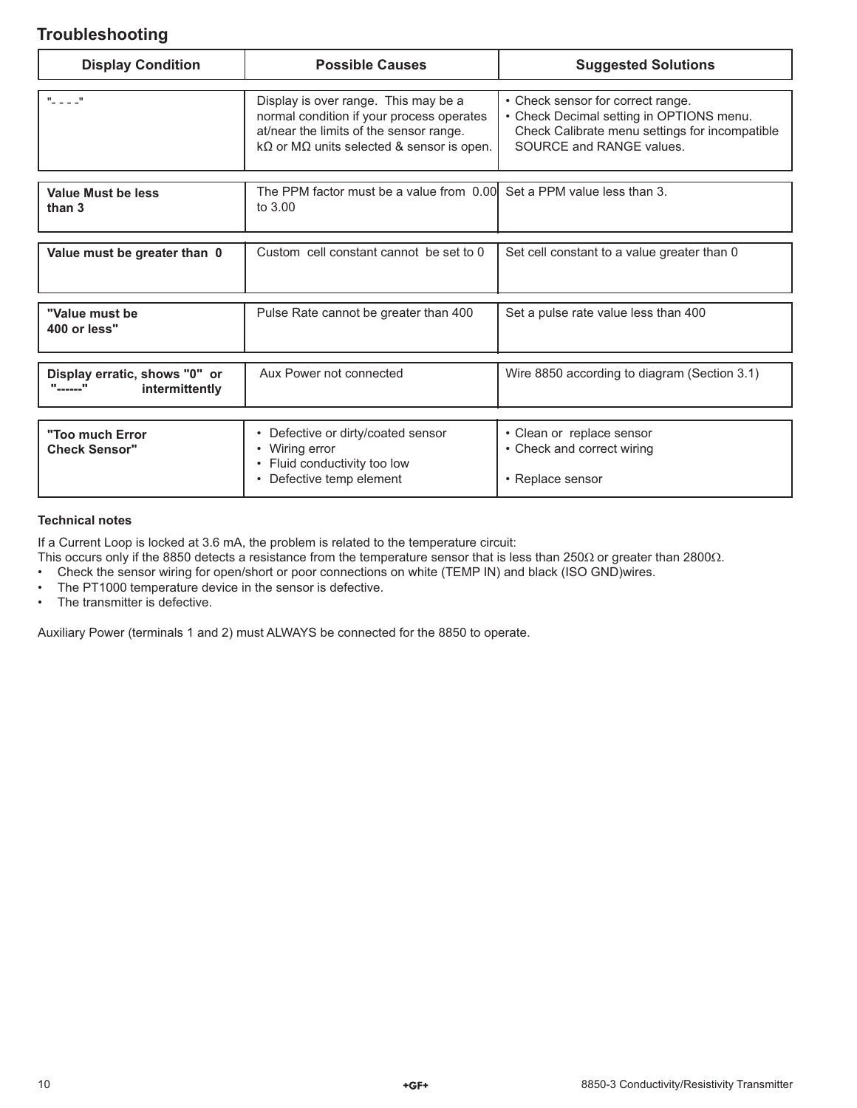## **Troubleshooting**

| <b>Display Condition</b>                                                                                         | <b>Possible Causes</b>                                                                                                                                                                   | <b>Suggested Solutions</b>                                                                                                                                  |
|------------------------------------------------------------------------------------------------------------------|------------------------------------------------------------------------------------------------------------------------------------------------------------------------------------------|-------------------------------------------------------------------------------------------------------------------------------------------------------------|
| $\sim$ 11                                                                                                        | Display is over range. This may be a<br>normal condition if your process operates<br>at/near the limits of the sensor range.<br>$k\Omega$ or M $\Omega$ units selected & sensor is open. | • Check sensor for correct range.<br>• Check Decimal setting in OPTIONS menu.<br>Check Calibrate menu settings for incompatible<br>SOURCE and RANGE values. |
| The PPM factor must be a value from 0.00 Set a PPM value less than 3.<br>Value Must be less<br>to 3.00<br>than 3 |                                                                                                                                                                                          |                                                                                                                                                             |
| Value must be greater than 0                                                                                     | Custom cell constant cannot be set to 0                                                                                                                                                  | Set cell constant to a value greater than 0                                                                                                                 |
| "Value must be<br>400 or less"                                                                                   | Pulse Rate cannot be greater than 400                                                                                                                                                    | Set a pulse rate value less than 400                                                                                                                        |
| Display erratic, shows "0" or<br>"------"<br>intermittently                                                      | Aux Power not connected                                                                                                                                                                  | Wire 8850 according to diagram (Section 3.1)                                                                                                                |
| "Too much Error<br><b>Check Sensor"</b>                                                                          | • Defective or dirty/coated sensor<br>• Wiring error<br>• Fluid conductivity too low<br>Defective temp element                                                                           | • Clean or replace sensor<br>• Check and correct wiring<br>• Replace sensor                                                                                 |

#### **Technical notes**

If a Current Loop is locked at 3.6 mA, the problem is related to the temperature circuit:

This occurs only if the 8850 detects a resistance from the temperature sensor that is less than 250Ω or greater than 2800Ω.

• Check the sensor wiring for open/short or poor connections on white (TEMP IN) and black (ISO GND)wires.

- The PT1000 temperature device in the sensor is defective.
- The transmitter is defective.

Auxiliary Power (terminals 1 and 2) must ALWAYS be connected for the 8850 to operate.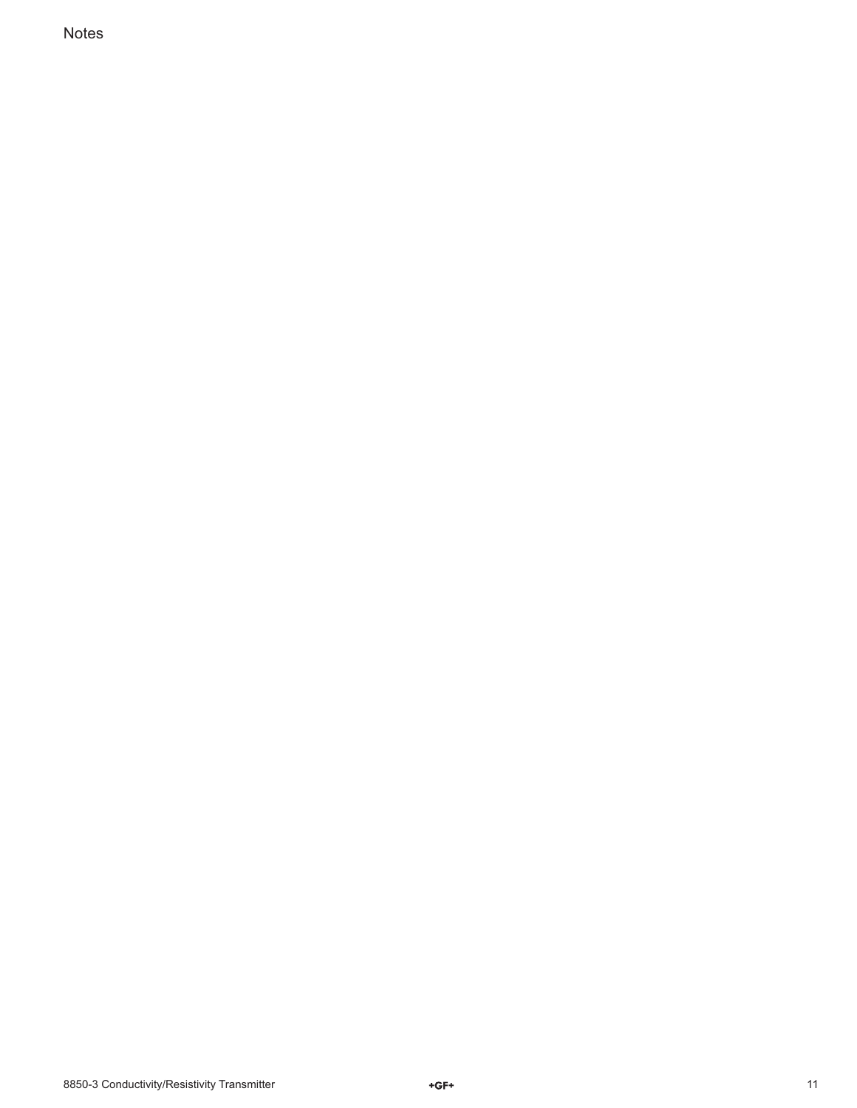Notes